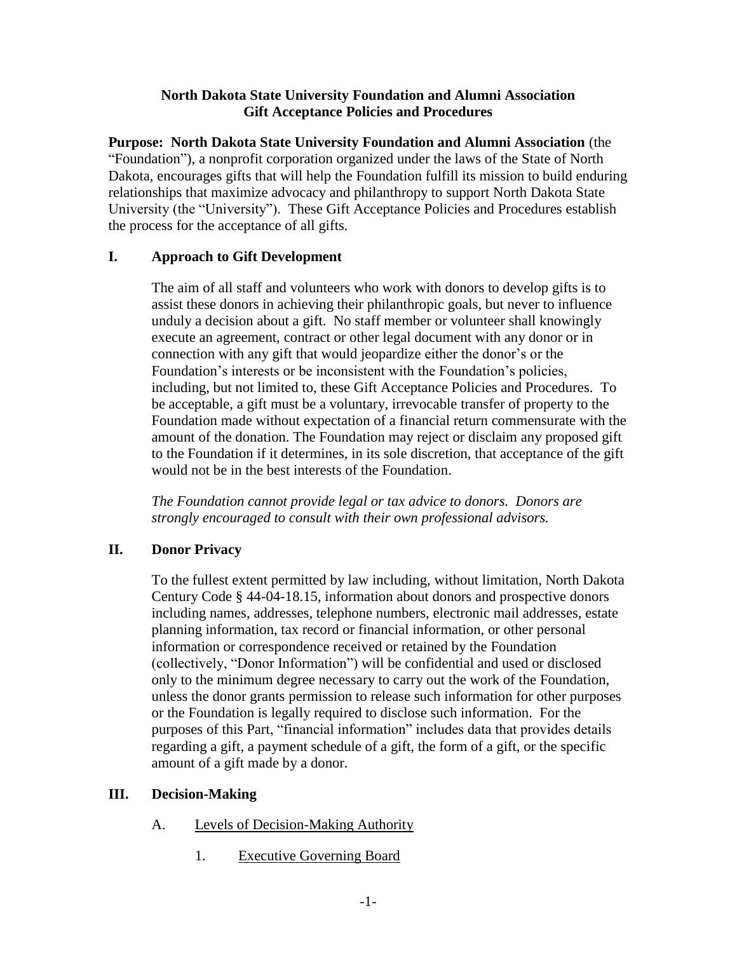### **North Dakota State University Foundation and Alumni Association Gift Acceptance Policies and Procedures**

**Purpose: North Dakota State University Foundation and Alumni Association** (the "Foundation"), a nonprofit corporation organized under the laws of the State of North Dakota, encourages gifts that will help the Foundation fulfill its mission to build enduring relationships that maximize advocacy and philanthropy to support North Dakota State University (the "University"). These Gift Acceptance Policies and Procedures establish the process for the acceptance of all gifts.

# **I. Approach to Gift Development**

The aim of all staff and volunteers who work with donors to develop gifts is to assist these donors in achieving their philanthropic goals, but never to influence unduly a decision about a gift. No staff member or volunteer shall knowingly execute an agreement, contract or other legal document with any donor or in connection with any gift that would jeopardize either the donor's or the Foundation's interests or be inconsistent with the Foundation's policies, including, but not limited to, these Gift Acceptance Policies and Procedures. To be acceptable, a gift must be a voluntary, irrevocable transfer of property to the Foundation made without expectation of a financial return commensurate with the amount of the donation. The Foundation may reject or disclaim any proposed gift to the Foundation if it determines, in its sole discretion, that acceptance of the gift would not be in the best interests of the Foundation.

*The Foundation cannot provide legal or tax advice to donors. Donors are strongly encouraged to consult with their own professional advisors.*

# **II. Donor Privacy**

To the fullest extent permitted by law including, without limitation, North Dakota Century Code § 44-04-18.15, information about donors and prospective donors including names, addresses, telephone numbers, electronic mail addresses, estate planning information, tax record or financial information, or other personal information or correspondence received or retained by the Foundation (collectively, "Donor Information") will be confidential and used or disclosed only to the minimum degree necessary to carry out the work of the Foundation, unless the donor grants permission to release such information for other purposes or the Foundation is legally required to disclose such information. For the purposes of this Part, "financial information" includes data that provides details regarding a gift, a payment schedule of a gift, the form of a gift, or the specific amount of a gift made by a donor.

# <span id="page-0-0"></span>**III. Decision-Making**

- A. Levels of Decision-Making Authority
	- 1. Executive Governing Board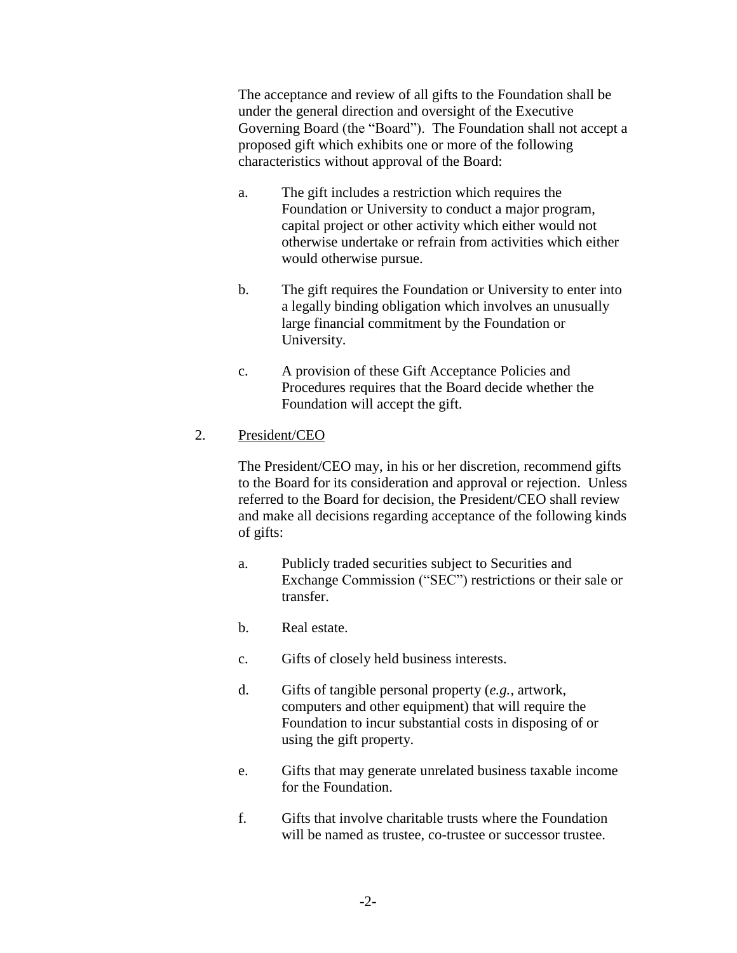The acceptance and review of all gifts to the Foundation shall be under the general direction and oversight of the Executive Governing Board (the "Board"). The Foundation shall not accept a proposed gift which exhibits one or more of the following characteristics without approval of the Board:

- a. The gift includes a restriction which requires the Foundation or University to conduct a major program, capital project or other activity which either would not otherwise undertake or refrain from activities which either would otherwise pursue.
- b. The gift requires the Foundation or University to enter into a legally binding obligation which involves an unusually large financial commitment by the Foundation or University.
- c. A provision of these Gift Acceptance Policies and Procedures requires that the Board decide whether the Foundation will accept the gift.

### <span id="page-1-0"></span>2. President/CEO

The President/CEO may, in his or her discretion, recommend gifts to the Board for its consideration and approval or rejection. Unless referred to the Board for decision, the President/CEO shall review and make all decisions regarding acceptance of the following kinds of gifts:

- a. Publicly traded securities subject to Securities and Exchange Commission ("SEC") restrictions or their sale or transfer.
- b. Real estate.
- c. Gifts of closely held business interests.
- d. Gifts of tangible personal property (*e.g.,* artwork, computers and other equipment) that will require the Foundation to incur substantial costs in disposing of or using the gift property.
- e. Gifts that may generate unrelated business taxable income for the Foundation.
- f. Gifts that involve charitable trusts where the Foundation will be named as trustee, co-trustee or successor trustee.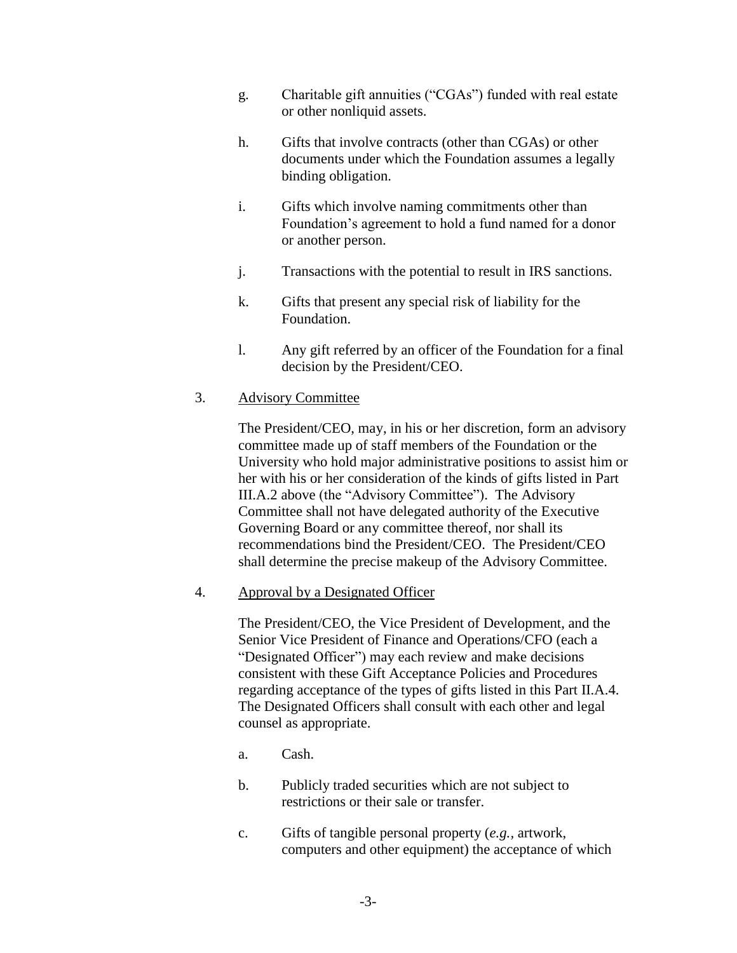- g. Charitable gift annuities ("CGAs") funded with real estate or other nonliquid assets.
- h. Gifts that involve contracts (other than CGAs) or other documents under which the Foundation assumes a legally binding obligation.
- i. Gifts which involve naming commitments other than Foundation's agreement to hold a fund named for a donor or another person.
- j. Transactions with the potential to result in IRS sanctions.
- k. Gifts that present any special risk of liability for the Foundation.
- l. Any gift referred by an officer of the Foundation for a final decision by the President/CEO.

### 3. Advisory Committee

The President/CEO, may, in his or her discretion, form an advisory committee made up of staff members of the Foundation or the University who hold major administrative positions to assist him or her with his or her consideration of the kinds of gifts listed in Part [III.A.2](#page-1-0) above (the "Advisory Committee"). The Advisory Committee shall not have delegated authority of the Executive Governing Board or any committee thereof, nor shall its recommendations bind the President/CEO. The President/CEO shall determine the precise makeup of the Advisory Committee.

#### <span id="page-2-0"></span>4. Approval by a Designated Officer

The President/CEO, the Vice President of Development, and the Senior Vice President of Finance and Operations/CFO (each a "Designated Officer") may each review and make decisions consistent with these Gift Acceptance Policies and Procedures regarding acceptance of the types of gifts listed in this Part II.A.4. The Designated Officers shall consult with each other and legal counsel as appropriate.

- a. Cash.
- b. Publicly traded securities which are not subject to restrictions or their sale or transfer.
- c. Gifts of tangible personal property (*e.g.,* artwork, computers and other equipment) the acceptance of which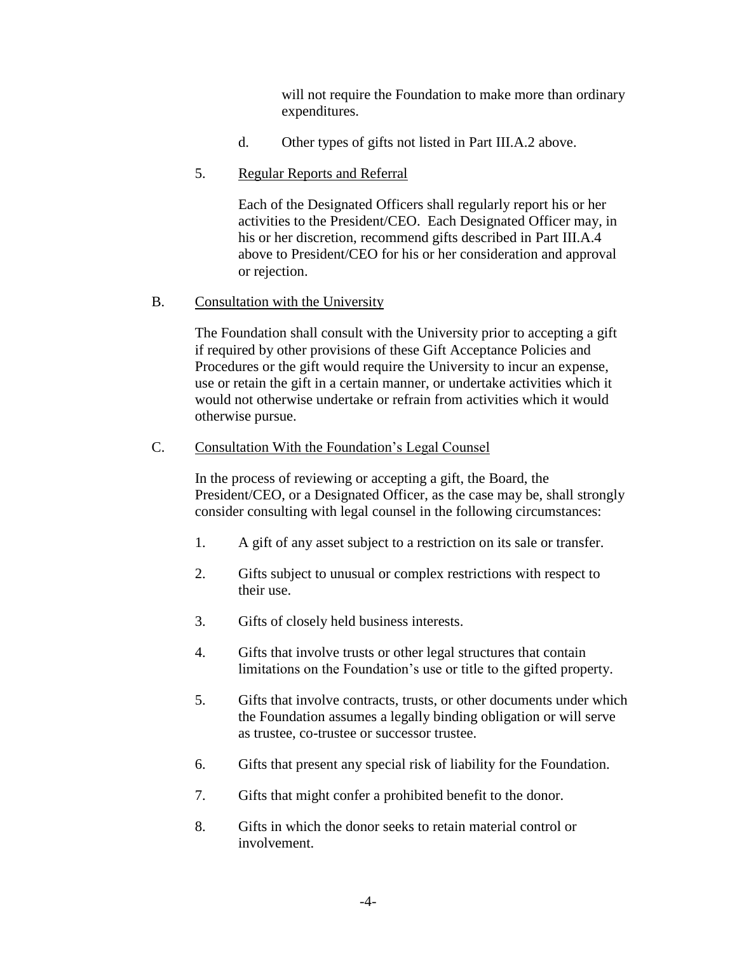will not require the Foundation to make more than ordinary expenditures.

d. Other types of gifts not listed in Part [III.A.2 above.](#page-1-0)

### 5. Regular Reports and Referral

Each of the Designated Officers shall regularly report his or her activities to the President/CEO. Each Designated Officer may, in his or her discretion, recommend gifts described in Part [III.A.4](#page-2-0) above to President/CEO for his or her consideration and approval or rejection.

### B. Consultation with the University

The Foundation shall consult with the University prior to accepting a gift if required by other provisions of these Gift Acceptance Policies and Procedures or the gift would require the University to incur an expense, use or retain the gift in a certain manner, or undertake activities which it would not otherwise undertake or refrain from activities which it would otherwise pursue.

#### C. Consultation With the Foundation's Legal Counsel

In the process of reviewing or accepting a gift, the Board, the President/CEO, or a Designated Officer, as the case may be, shall strongly consider consulting with legal counsel in the following circumstances:

- 1. A gift of any asset subject to a restriction on its sale or transfer.
- 2. Gifts subject to unusual or complex restrictions with respect to their use.
- 3. Gifts of closely held business interests.
- 4. Gifts that involve trusts or other legal structures that contain limitations on the Foundation's use or title to the gifted property.
- 5. Gifts that involve contracts, trusts, or other documents under which the Foundation assumes a legally binding obligation or will serve as trustee, co-trustee or successor trustee.
- 6. Gifts that present any special risk of liability for the Foundation.
- 7. Gifts that might confer a prohibited benefit to the donor.
- 8. Gifts in which the donor seeks to retain material control or involvement.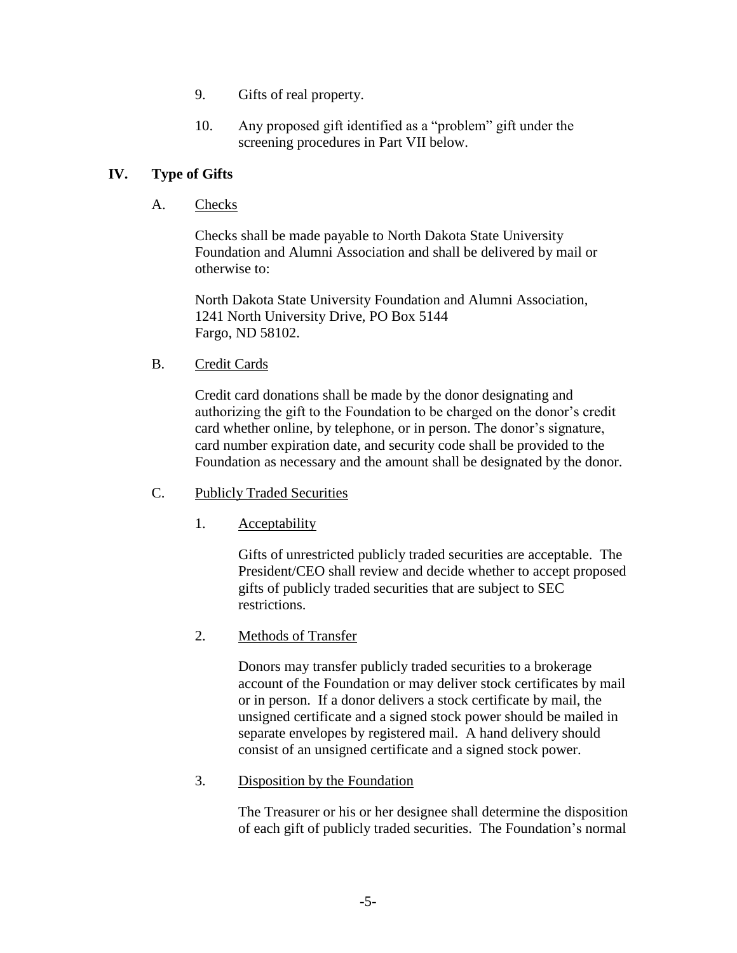- 9. Gifts of real property.
- 10. Any proposed gift identified as a "problem" gift under the screening procedures in Part [VII](#page-18-0) below.

### <span id="page-4-1"></span><span id="page-4-0"></span>**IV. Type of Gifts**

A. Checks

Checks shall be made payable to North Dakota State University Foundation and Alumni Association and shall be delivered by mail or otherwise to:

North Dakota State University Foundation and Alumni Association, 1241 North University Drive, PO Box 5144 Fargo, ND 58102.

B. Credit Cards

Credit card donations shall be made by the donor designating and authorizing the gift to the Foundation to be charged on the donor's credit card whether online, by telephone, or in person. The donor's signature, card number expiration date, and security code shall be provided to the Foundation as necessary and the amount shall be designated by the donor.

- C. Publicly Traded Securities
	- 1. Acceptability

Gifts of unrestricted publicly traded securities are acceptable. The President/CEO shall review and decide whether to accept proposed gifts of publicly traded securities that are subject to SEC restrictions.

2. Methods of Transfer

Donors may transfer publicly traded securities to a brokerage account of the Foundation or may deliver stock certificates by mail or in person. If a donor delivers a stock certificate by mail, the unsigned certificate and a signed stock power should be mailed in separate envelopes by registered mail. A hand delivery should consist of an unsigned certificate and a signed stock power.

3. Disposition by the Foundation

The Treasurer or his or her designee shall determine the disposition of each gift of publicly traded securities. The Foundation's normal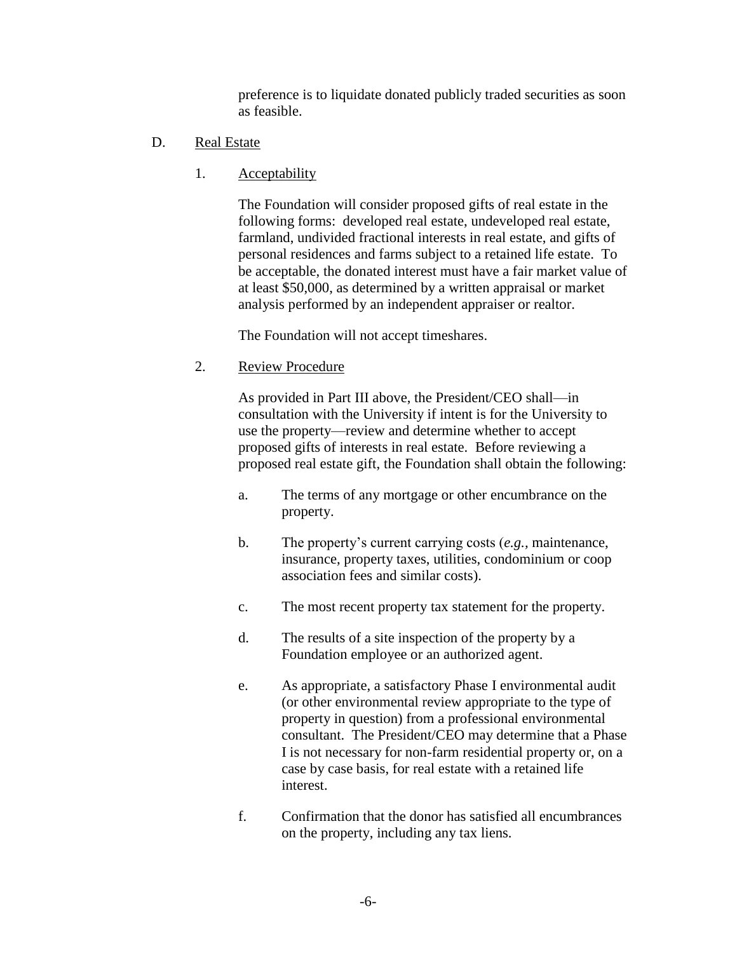preference is to liquidate donated publicly traded securities as soon as feasible.

- <span id="page-5-0"></span>D. Real Estate
	- 1. Acceptability

The Foundation will consider proposed gifts of real estate in the following forms: developed real estate, undeveloped real estate, farmland, undivided fractional interests in real estate, and gifts of personal residences and farms subject to a retained life estate. To be acceptable, the donated interest must have a fair market value of at least \$50,000, as determined by a written appraisal or market analysis performed by an independent appraiser or realtor.

The Foundation will not accept timeshares.

2. Review Procedure

As provided in Part [III](#page-0-0) above, the President/CEO shall—in consultation with the University if intent is for the University to use the property—review and determine whether to accept proposed gifts of interests in real estate. Before reviewing a proposed real estate gift, the Foundation shall obtain the following:

- a. The terms of any mortgage or other encumbrance on the property.
- b. The property's current carrying costs (*e.g.,* maintenance, insurance, property taxes, utilities, condominium or coop association fees and similar costs).
- c. The most recent property tax statement for the property.
- d. The results of a site inspection of the property by a Foundation employee or an authorized agent.
- e. As appropriate, a satisfactory Phase I environmental audit (or other environmental review appropriate to the type of property in question) from a professional environmental consultant. The President/CEO may determine that a Phase I is not necessary for non-farm residential property or, on a case by case basis, for real estate with a retained life interest.
- f. Confirmation that the donor has satisfied all encumbrances on the property, including any tax liens.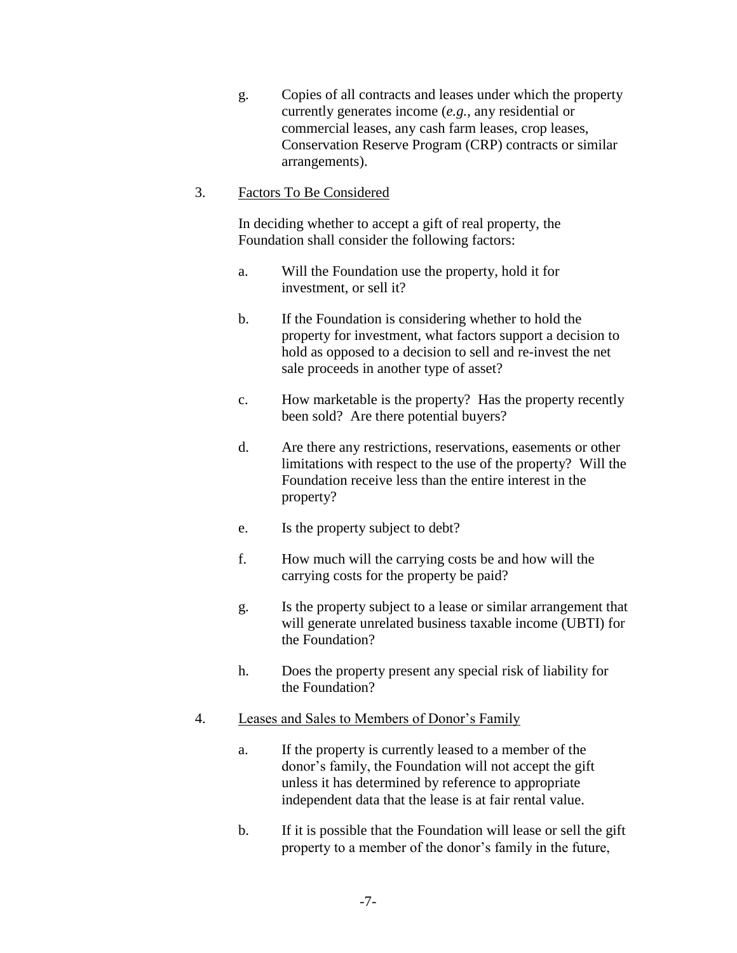g. Copies of all contracts and leases under which the property currently generates income (*e.g.,* any residential or commercial leases, any cash farm leases, crop leases, Conservation Reserve Program (CRP) contracts or similar arrangements).

### 3. Factors To Be Considered

In deciding whether to accept a gift of real property, the Foundation shall consider the following factors:

- a. Will the Foundation use the property, hold it for investment, or sell it?
- b. If the Foundation is considering whether to hold the property for investment, what factors support a decision to hold as opposed to a decision to sell and re-invest the net sale proceeds in another type of asset?
- c. How marketable is the property? Has the property recently been sold? Are there potential buyers?
- d. Are there any restrictions, reservations, easements or other limitations with respect to the use of the property? Will the Foundation receive less than the entire interest in the property?
- e. Is the property subject to debt?
- f. How much will the carrying costs be and how will the carrying costs for the property be paid?
- g. Is the property subject to a lease or similar arrangement that will generate unrelated business taxable income (UBTI) for the Foundation?
- h. Does the property present any special risk of liability for the Foundation?

# 4. Leases and Sales to Members of Donor's Family

- a. If the property is currently leased to a member of the donor's family, the Foundation will not accept the gift unless it has determined by reference to appropriate independent data that the lease is at fair rental value.
- b. If it is possible that the Foundation will lease or sell the gift property to a member of the donor's family in the future,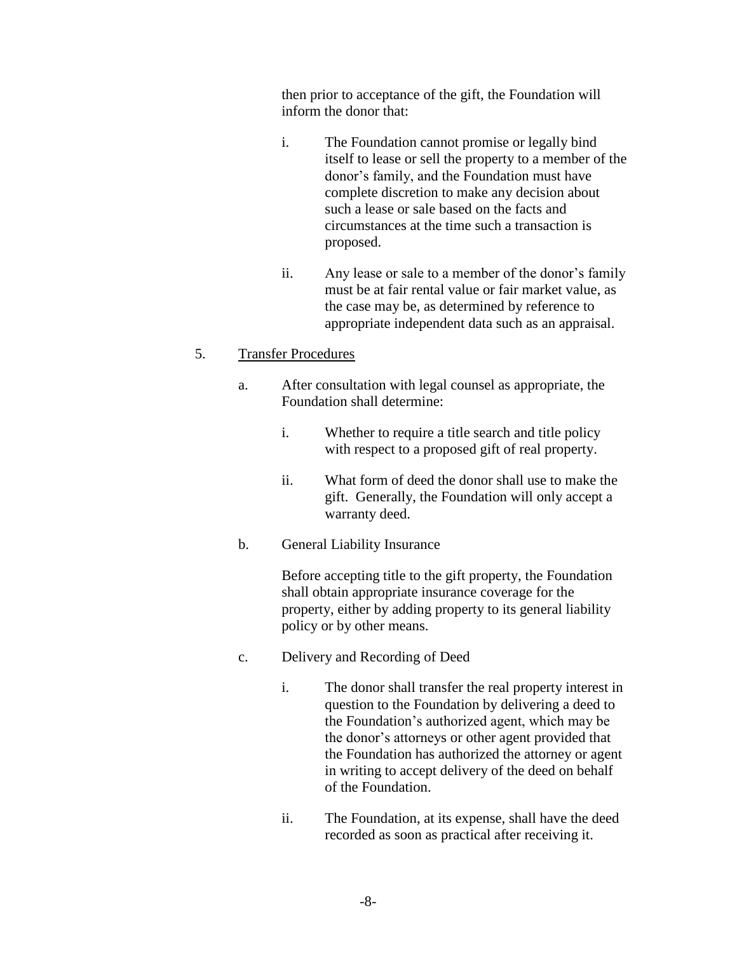then prior to acceptance of the gift, the Foundation will inform the donor that:

- i. The Foundation cannot promise or legally bind itself to lease or sell the property to a member of the donor's family, and the Foundation must have complete discretion to make any decision about such a lease or sale based on the facts and circumstances at the time such a transaction is proposed.
- ii. Any lease or sale to a member of the donor's family must be at fair rental value or fair market value, as the case may be, as determined by reference to appropriate independent data such as an appraisal.

# 5. Transfer Procedures

- a. After consultation with legal counsel as appropriate, the Foundation shall determine:
	- i. Whether to require a title search and title policy with respect to a proposed gift of real property.
	- ii. What form of deed the donor shall use to make the gift. Generally, the Foundation will only accept a warranty deed.
- b. General Liability Insurance

Before accepting title to the gift property, the Foundation shall obtain appropriate insurance coverage for the property, either by adding property to its general liability policy or by other means.

- c. Delivery and Recording of Deed
	- i. The donor shall transfer the real property interest in question to the Foundation by delivering a deed to the Foundation's authorized agent, which may be the donor's attorneys or other agent provided that the Foundation has authorized the attorney or agent in writing to accept delivery of the deed on behalf of the Foundation.
	- ii. The Foundation, at its expense, shall have the deed recorded as soon as practical after receiving it.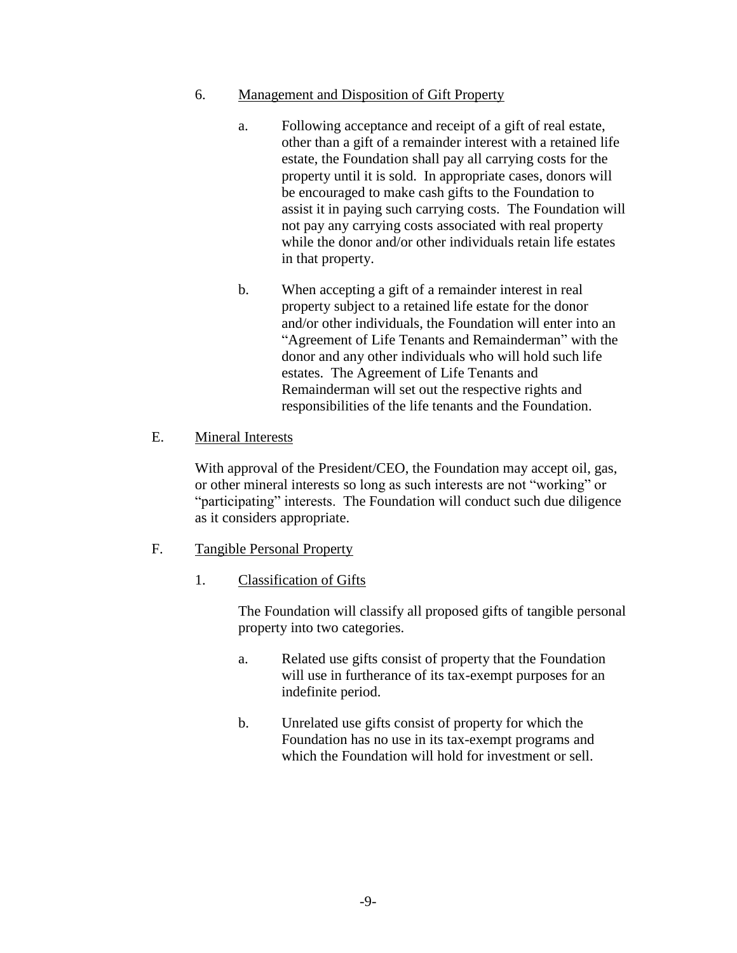#### 6. Management and Disposition of Gift Property

- a. Following acceptance and receipt of a gift of real estate, other than a gift of a remainder interest with a retained life estate, the Foundation shall pay all carrying costs for the property until it is sold. In appropriate cases, donors will be encouraged to make cash gifts to the Foundation to assist it in paying such carrying costs. The Foundation will not pay any carrying costs associated with real property while the donor and/or other individuals retain life estates in that property.
- b. When accepting a gift of a remainder interest in real property subject to a retained life estate for the donor and/or other individuals, the Foundation will enter into an "Agreement of Life Tenants and Remainderman" with the donor and any other individuals who will hold such life estates. The Agreement of Life Tenants and Remainderman will set out the respective rights and responsibilities of the life tenants and the Foundation.

# E. Mineral Interests

With approval of the President/CEO, the Foundation may accept oil, gas, or other mineral interests so long as such interests are not "working" or "participating" interests. The Foundation will conduct such due diligence as it considers appropriate.

- F. Tangible Personal Property
	- 1. Classification of Gifts

The Foundation will classify all proposed gifts of tangible personal property into two categories.

- a. Related use gifts consist of property that the Foundation will use in furtherance of its tax-exempt purposes for an indefinite period.
- b. Unrelated use gifts consist of property for which the Foundation has no use in its tax-exempt programs and which the Foundation will hold for investment or sell.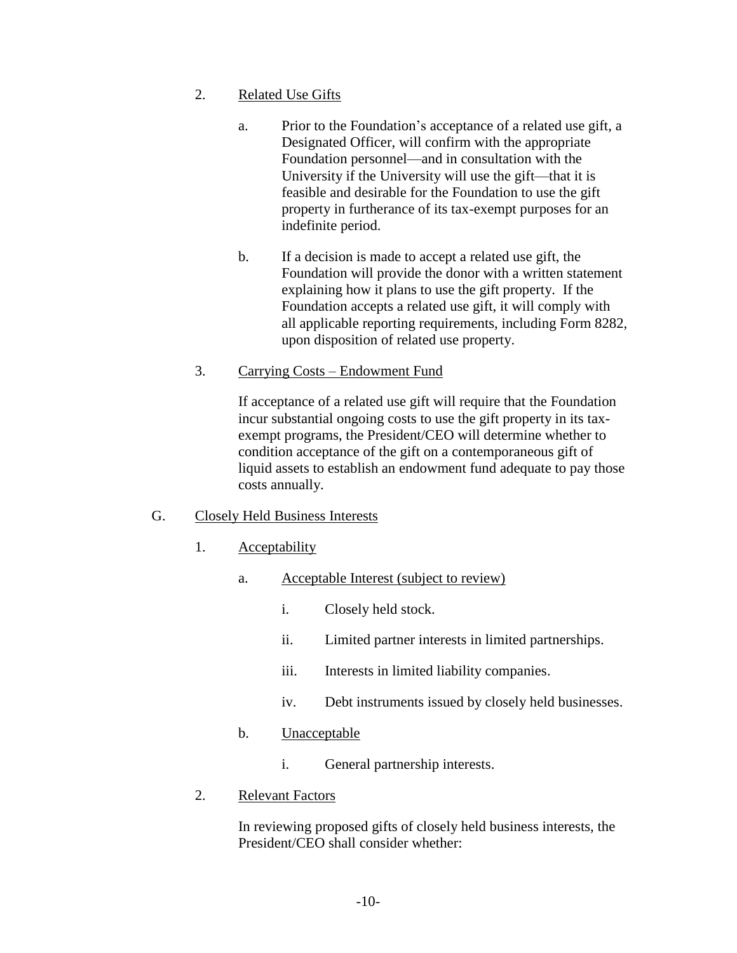- 2. Related Use Gifts
	- a. Prior to the Foundation's acceptance of a related use gift, a Designated Officer, will confirm with the appropriate Foundation personnel—and in consultation with the University if the University will use the gift—that it is feasible and desirable for the Foundation to use the gift property in furtherance of its tax-exempt purposes for an indefinite period.
	- b. If a decision is made to accept a related use gift, the Foundation will provide the donor with a written statement explaining how it plans to use the gift property. If the Foundation accepts a related use gift, it will comply with all applicable reporting requirements, including Form 8282, upon disposition of related use property.
- 3. Carrying Costs Endowment Fund

If acceptance of a related use gift will require that the Foundation incur substantial ongoing costs to use the gift property in its taxexempt programs, the President/CEO will determine whether to condition acceptance of the gift on a contemporaneous gift of liquid assets to establish an endowment fund adequate to pay those costs annually.

# <span id="page-9-0"></span>G. Closely Held Business Interests

- 1. Acceptability
	- a. Acceptable Interest (subject to review)
		- i. Closely held stock.
		- ii. Limited partner interests in limited partnerships.
		- iii. Interests in limited liability companies.
		- iv. Debt instruments issued by closely held businesses.
	- b. Unacceptable
		- i. General partnership interests.
- 2. Relevant Factors

In reviewing proposed gifts of closely held business interests, the President/CEO shall consider whether: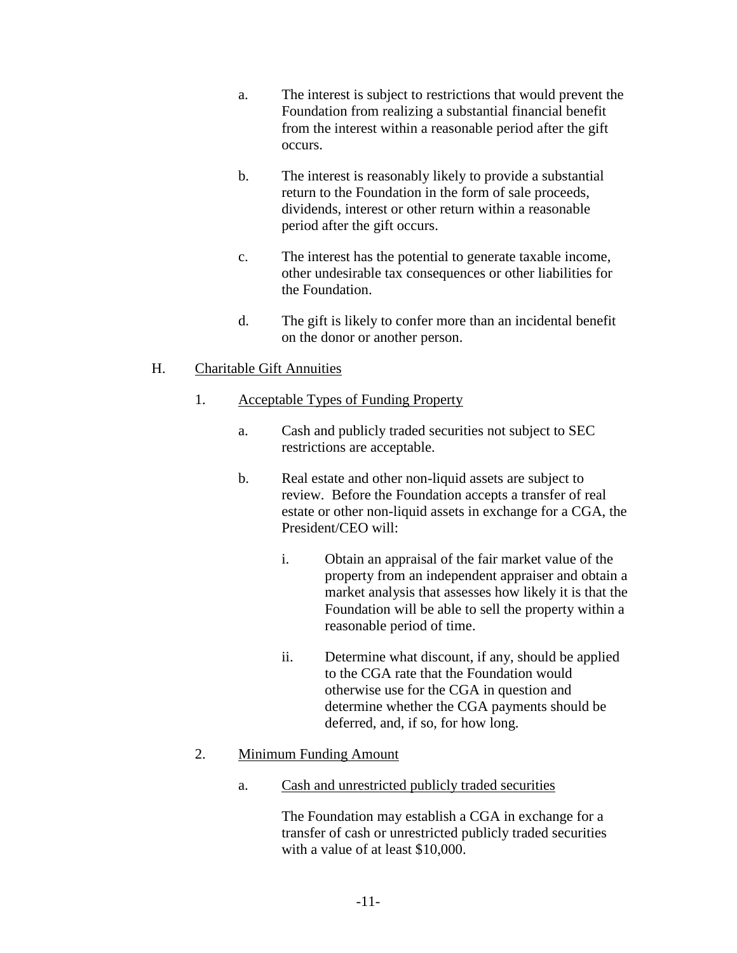- a. The interest is subject to restrictions that would prevent the Foundation from realizing a substantial financial benefit from the interest within a reasonable period after the gift occurs.
- b. The interest is reasonably likely to provide a substantial return to the Foundation in the form of sale proceeds, dividends, interest or other return within a reasonable period after the gift occurs.
- c. The interest has the potential to generate taxable income, other undesirable tax consequences or other liabilities for the Foundation.
- d. The gift is likely to confer more than an incidental benefit on the donor or another person.

# H. Charitable Gift Annuities

- 1. Acceptable Types of Funding Property
	- a. Cash and publicly traded securities not subject to SEC restrictions are acceptable.
	- b. Real estate and other non-liquid assets are subject to review. Before the Foundation accepts a transfer of real estate or other non-liquid assets in exchange for a CGA, the President/CEO will:
		- i. Obtain an appraisal of the fair market value of the property from an independent appraiser and obtain a market analysis that assesses how likely it is that the Foundation will be able to sell the property within a reasonable period of time.
		- ii. Determine what discount, if any, should be applied to the CGA rate that the Foundation would otherwise use for the CGA in question and determine whether the CGA payments should be deferred, and, if so, for how long.

# 2. Minimum Funding Amount

a. Cash and unrestricted publicly traded securities

The Foundation may establish a CGA in exchange for a transfer of cash or unrestricted publicly traded securities with a value of at least \$10,000.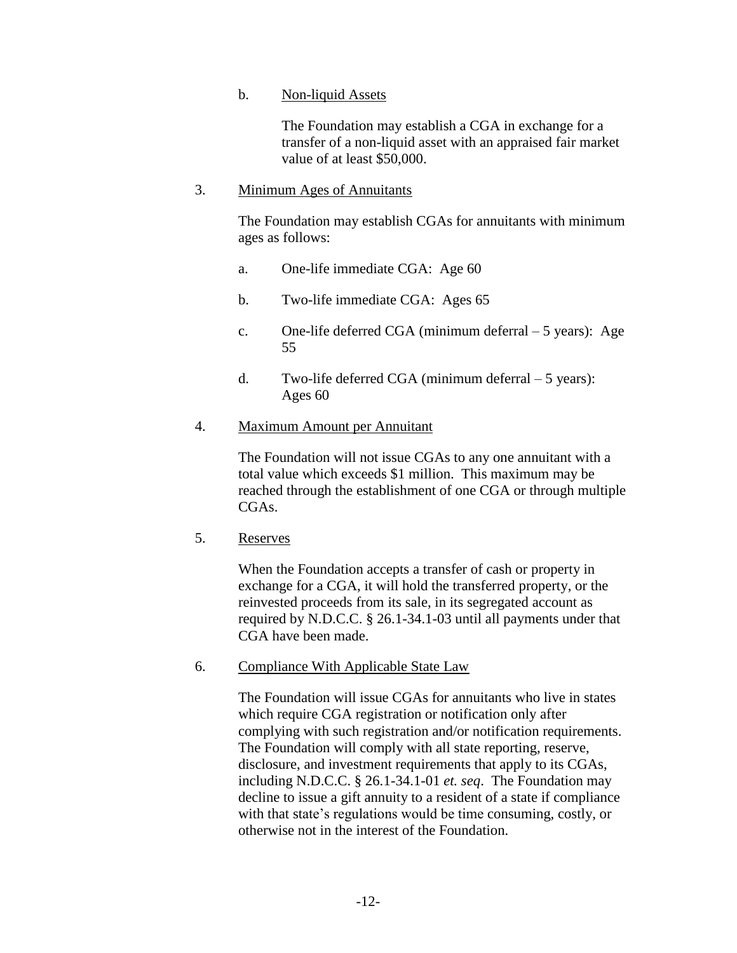#### b. Non-liquid Assets

The Foundation may establish a CGA in exchange for a transfer of a non-liquid asset with an appraised fair market value of at least \$50,000.

### 3. Minimum Ages of Annuitants

The Foundation may establish CGAs for annuitants with minimum ages as follows:

- a. One-life immediate CGA: Age 60
- b. Two-life immediate CGA: Ages 65
- c. One-life deferred CGA (minimum deferral 5 years): Age 55
- d. Two-life deferred CGA (minimum deferral 5 years): Ages 60

### 4. Maximum Amount per Annuitant

The Foundation will not issue CGAs to any one annuitant with a total value which exceeds \$1 million. This maximum may be reached through the establishment of one CGA or through multiple CGAs.

5. Reserves

When the Foundation accepts a transfer of cash or property in exchange for a CGA, it will hold the transferred property, or the reinvested proceeds from its sale, in its segregated account as required by N.D.C.C. § 26.1-34.1-03 until all payments under that CGA have been made.

6. Compliance With Applicable State Law

The Foundation will issue CGAs for annuitants who live in states which require CGA registration or notification only after complying with such registration and/or notification requirements. The Foundation will comply with all state reporting, reserve, disclosure, and investment requirements that apply to its CGAs, including N.D.C.C. § 26.1-34.1-01 *et. seq*. The Foundation may decline to issue a gift annuity to a resident of a state if compliance with that state's regulations would be time consuming, costly, or otherwise not in the interest of the Foundation.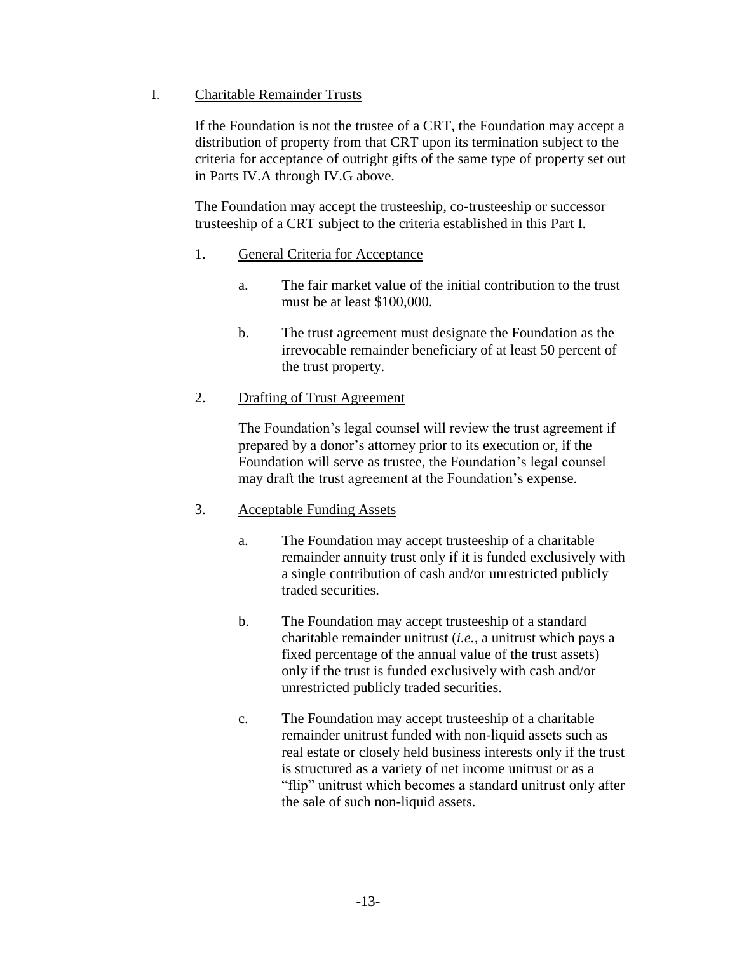### <span id="page-12-0"></span>I. Charitable Remainder Trusts

If the Foundation is not the trustee of a CRT, the Foundation may accept a distribution of property from that CRT upon its termination subject to the criteria for acceptance of outright gifts of the same type of property set out in Parts [IV.A](#page-4-0) through [IV.G](#page-9-0) above.

The Foundation may accept the trusteeship, co-trusteeship or successor trusteeship of a CRT subject to the criteria established in this Part [I.](#page-12-0)

### <span id="page-12-1"></span>1. General Criteria for Acceptance

- a. The fair market value of the initial contribution to the trust must be at least \$100,000.
- b. The trust agreement must designate the Foundation as the irrevocable remainder beneficiary of at least 50 percent of the trust property.

### 2. Drafting of Trust Agreement

The Foundation's legal counsel will review the trust agreement if prepared by a donor's attorney prior to its execution or, if the Foundation will serve as trustee, the Foundation's legal counsel may draft the trust agreement at the Foundation's expense.

# <span id="page-12-2"></span>3. Acceptable Funding Assets

- a. The Foundation may accept trusteeship of a charitable remainder annuity trust only if it is funded exclusively with a single contribution of cash and/or unrestricted publicly traded securities.
- b. The Foundation may accept trusteeship of a standard charitable remainder unitrust (*i.e.,* a unitrust which pays a fixed percentage of the annual value of the trust assets) only if the trust is funded exclusively with cash and/or unrestricted publicly traded securities.
- c. The Foundation may accept trusteeship of a charitable remainder unitrust funded with non-liquid assets such as real estate or closely held business interests only if the trust is structured as a variety of net income unitrust or as a "flip" unitrust which becomes a standard unitrust only after the sale of such non-liquid assets.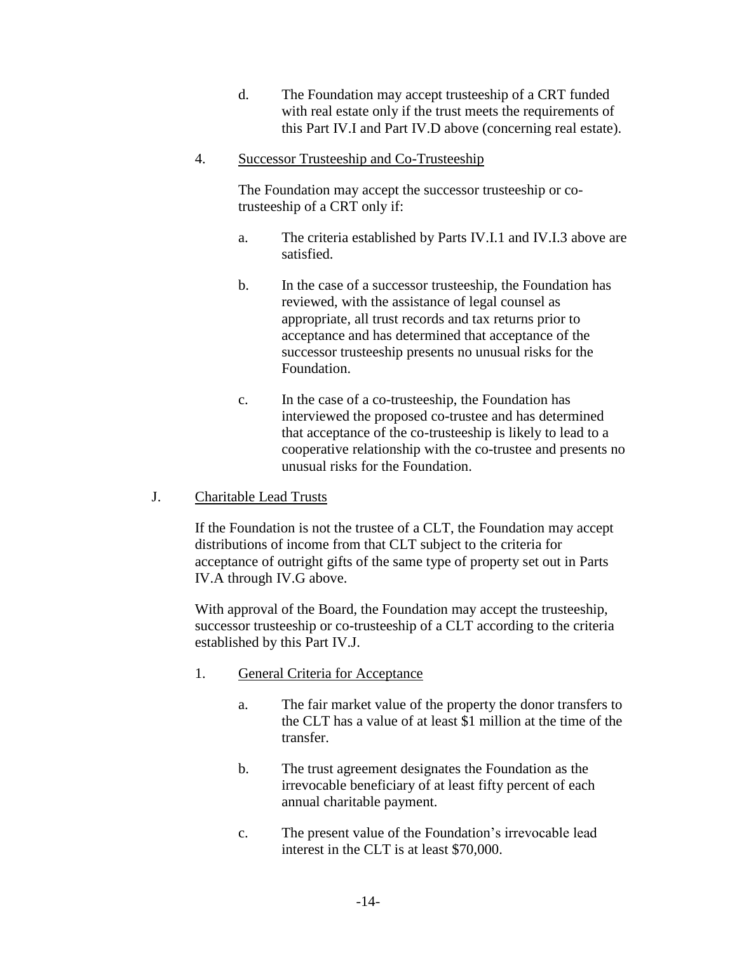- d. The Foundation may accept trusteeship of a CRT funded with real estate only if the trust meets the requirements of this Part [IV.I](#page-12-0) and Part [IV.D](#page-5-0) above (concerning real estate).
- <span id="page-13-2"></span>4. Successor Trusteeship and Co-Trusteeship

The Foundation may accept the successor trusteeship or cotrusteeship of a CRT only if:

- a. The criteria established by Parts [IV.I.1](#page-12-1) and [IV.I.3](#page-12-2) above are satisfied.
- b. In the case of a successor trusteeship, the Foundation has reviewed, with the assistance of legal counsel as appropriate, all trust records and tax returns prior to acceptance and has determined that acceptance of the successor trusteeship presents no unusual risks for the Foundation.
- c. In the case of a co-trusteeship, the Foundation has interviewed the proposed co-trustee and has determined that acceptance of the co-trusteeship is likely to lead to a cooperative relationship with the co-trustee and presents no unusual risks for the Foundation.
- <span id="page-13-0"></span>J. Charitable Lead Trusts

If the Foundation is not the trustee of a CLT, the Foundation may accept distributions of income from that CLT subject to the criteria for acceptance of outright gifts of the same type of property set out in Parts [IV.A](#page-4-0) through [IV.G](#page-9-0) above.

With approval of the Board, the Foundation may accept the trusteeship, successor trusteeship or co-trusteeship of a CLT according to the criteria established by this Part [IV.J.](#page-13-0)

- <span id="page-13-1"></span>1. General Criteria for Acceptance
	- a. The fair market value of the property the donor transfers to the CLT has a value of at least \$1 million at the time of the transfer.
	- b. The trust agreement designates the Foundation as the irrevocable beneficiary of at least fifty percent of each annual charitable payment.
	- c. The present value of the Foundation's irrevocable lead interest in the CLT is at least \$70,000.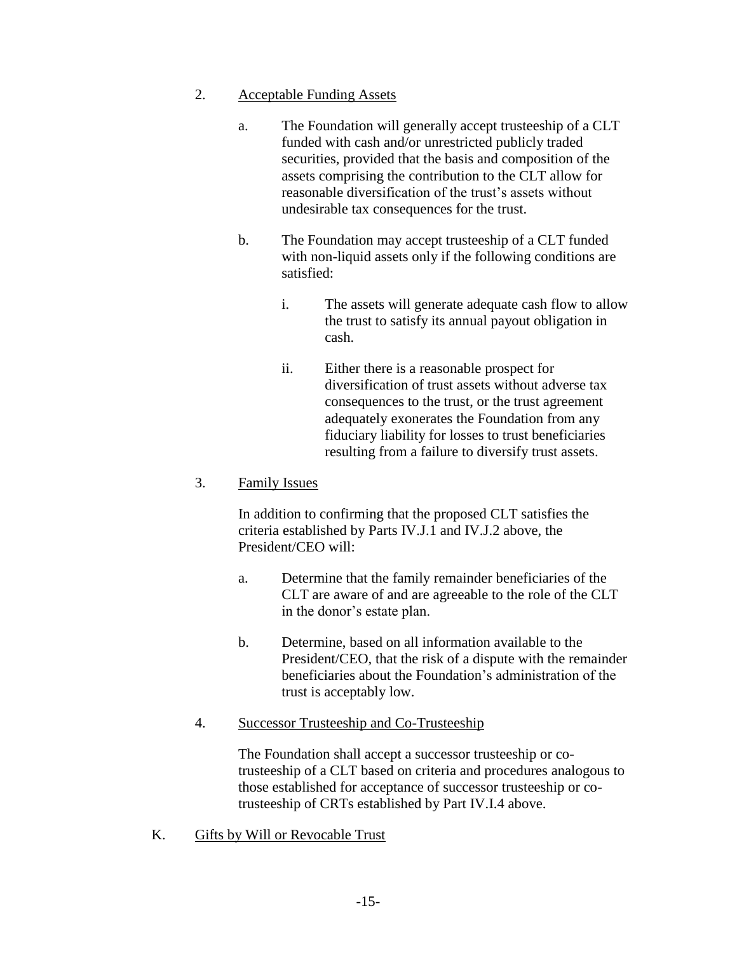#### <span id="page-14-0"></span>2. Acceptable Funding Assets

- a. The Foundation will generally accept trusteeship of a CLT funded with cash and/or unrestricted publicly traded securities, provided that the basis and composition of the assets comprising the contribution to the CLT allow for reasonable diversification of the trust's assets without undesirable tax consequences for the trust.
- b. The Foundation may accept trusteeship of a CLT funded with non-liquid assets only if the following conditions are satisfied:
	- i. The assets will generate adequate cash flow to allow the trust to satisfy its annual payout obligation in cash.
	- ii. Either there is a reasonable prospect for diversification of trust assets without adverse tax consequences to the trust, or the trust agreement adequately exonerates the Foundation from any fiduciary liability for losses to trust beneficiaries resulting from a failure to diversify trust assets.

### 3. Family Issues

In addition to confirming that the proposed CLT satisfies the criteria established by Parts [IV.J.1](#page-13-1) and [IV.J.2](#page-14-0) above, the President/CEO will:

- a. Determine that the family remainder beneficiaries of the CLT are aware of and are agreeable to the role of the CLT in the donor's estate plan.
- b. Determine, based on all information available to the President/CEO, that the risk of a dispute with the remainder beneficiaries about the Foundation's administration of the trust is acceptably low.

# 4. Successor Trusteeship and Co-Trusteeship

The Foundation shall accept a successor trusteeship or cotrusteeship of a CLT based on criteria and procedures analogous to those established for acceptance of successor trusteeship or cotrusteeship of CRTs established by Part [IV.I.4](#page-13-2) above.

K. Gifts by Will or Revocable Trust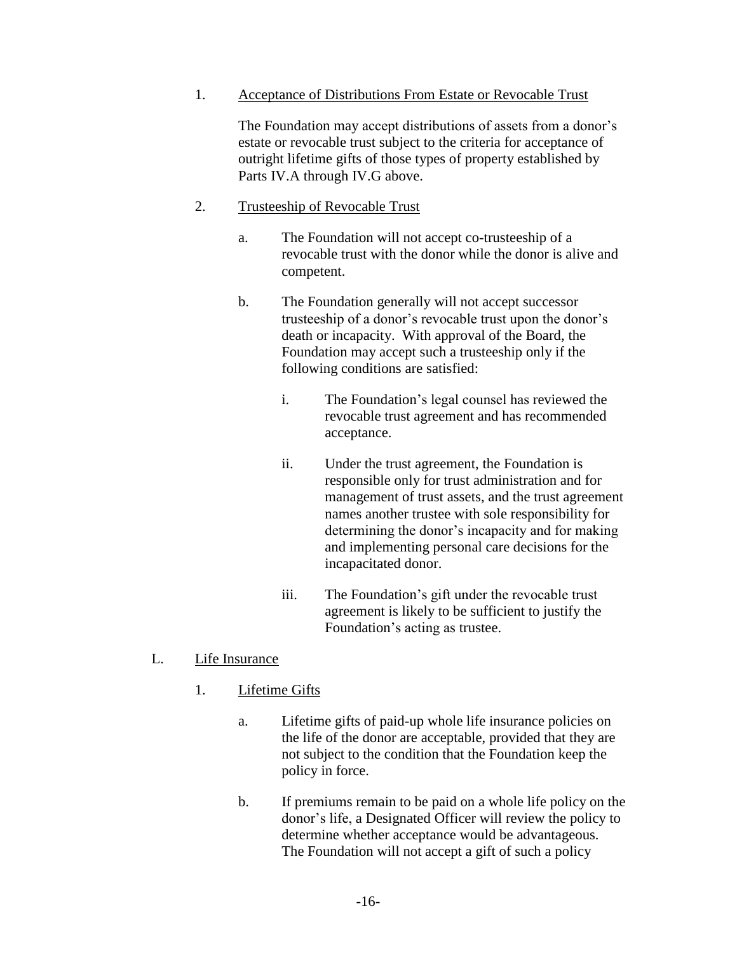1. Acceptance of Distributions From Estate or Revocable Trust

The Foundation may accept distributions of assets from a donor's estate or revocable trust subject to the criteria for acceptance of outright lifetime gifts of those types of property established by Parts [IV.A](#page-4-0) through [IV.G](#page-9-0) above.

#### 2. Trusteeship of Revocable Trust

- a. The Foundation will not accept co-trusteeship of a revocable trust with the donor while the donor is alive and competent.
- b. The Foundation generally will not accept successor trusteeship of a donor's revocable trust upon the donor's death or incapacity. With approval of the Board, the Foundation may accept such a trusteeship only if the following conditions are satisfied:
	- i. The Foundation's legal counsel has reviewed the revocable trust agreement and has recommended acceptance.
	- ii. Under the trust agreement, the Foundation is responsible only for trust administration and for management of trust assets, and the trust agreement names another trustee with sole responsibility for determining the donor's incapacity and for making and implementing personal care decisions for the incapacitated donor.
	- iii. The Foundation's gift under the revocable trust agreement is likely to be sufficient to justify the Foundation's acting as trustee.

#### L. Life Insurance

- 1. Lifetime Gifts
	- a. Lifetime gifts of paid-up whole life insurance policies on the life of the donor are acceptable, provided that they are not subject to the condition that the Foundation keep the policy in force.
	- b. If premiums remain to be paid on a whole life policy on the donor's life, a Designated Officer will review the policy to determine whether acceptance would be advantageous. The Foundation will not accept a gift of such a policy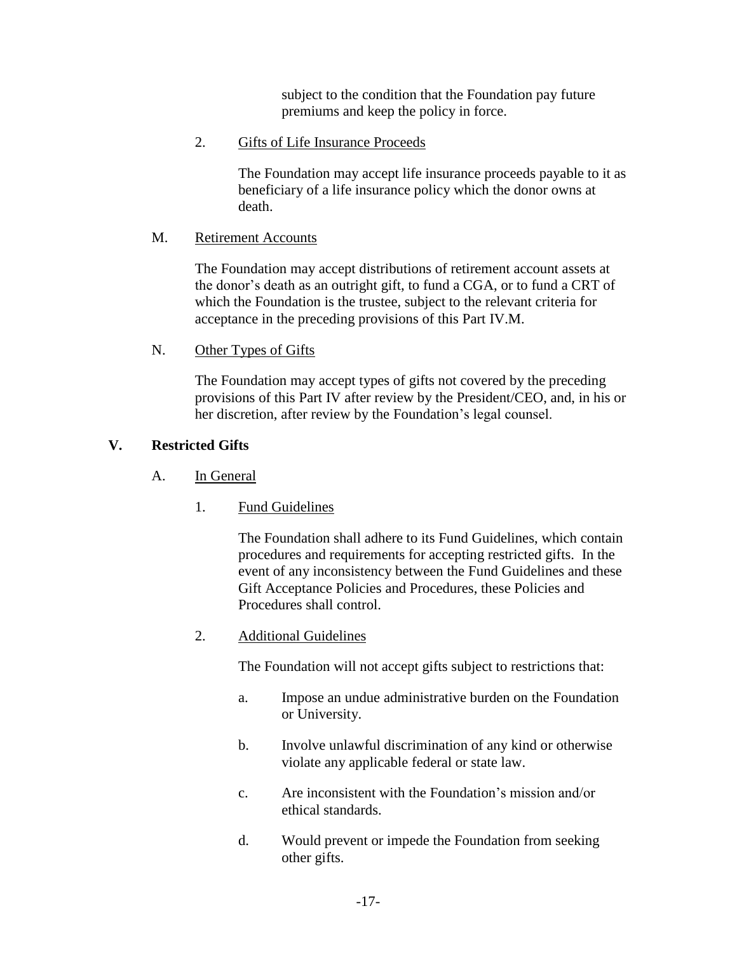subject to the condition that the Foundation pay future premiums and keep the policy in force.

### 2. Gifts of Life Insurance Proceeds

The Foundation may accept life insurance proceeds payable to it as beneficiary of a life insurance policy which the donor owns at death.

#### <span id="page-16-0"></span>M. Retirement Accounts

The Foundation may accept distributions of retirement account assets at the donor's death as an outright gift, to fund a CGA, or to fund a CRT of which the Foundation is the trustee, subject to the relevant criteria for acceptance in the preceding provisions of this Part [IV.M.](#page-16-0)

### N. Other Types of Gifts

The Foundation may accept types of gifts not covered by the preceding provisions of this Part [IV](#page-4-1) after review by the President/CEO, and, in his or her discretion, after review by the Foundation's legal counsel.

# <span id="page-16-1"></span>**V. Restricted Gifts**

# A. In General

1. Fund Guidelines

The Foundation shall adhere to its Fund Guidelines, which contain procedures and requirements for accepting restricted gifts. In the event of any inconsistency between the Fund Guidelines and these Gift Acceptance Policies and Procedures, these Policies and Procedures shall control.

2. Additional Guidelines

The Foundation will not accept gifts subject to restrictions that:

- a. Impose an undue administrative burden on the Foundation or University.
- b. Involve unlawful discrimination of any kind or otherwise violate any applicable federal or state law.
- c. Are inconsistent with the Foundation's mission and/or ethical standards.
- d. Would prevent or impede the Foundation from seeking other gifts.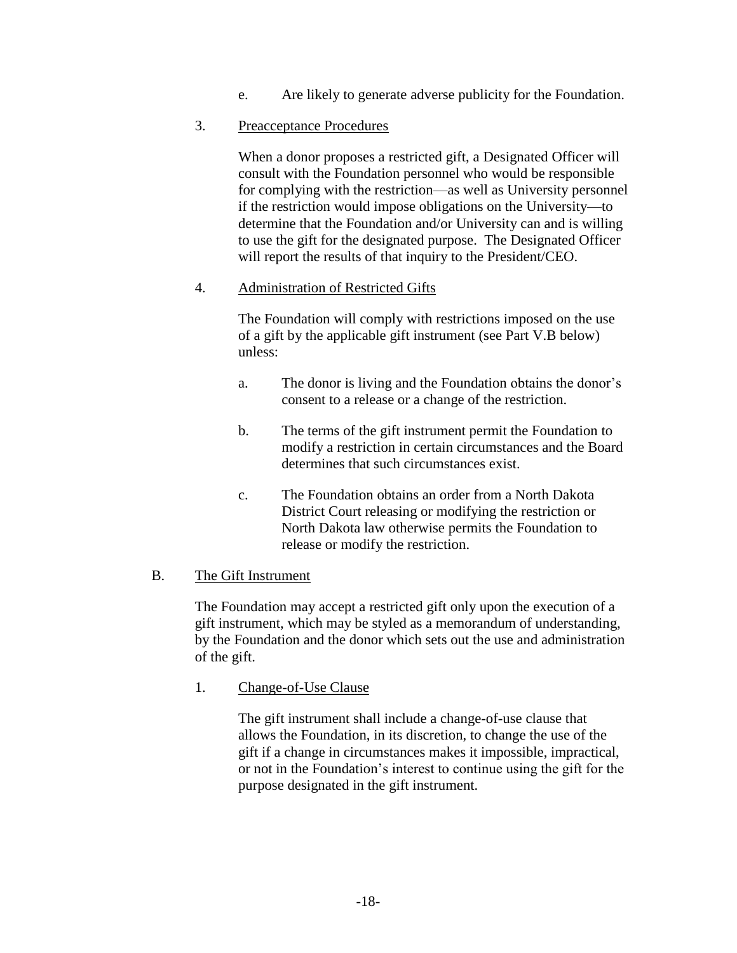e. Are likely to generate adverse publicity for the Foundation.

#### 3. Preacceptance Procedures

When a donor proposes a restricted gift, a Designated Officer will consult with the Foundation personnel who would be responsible for complying with the restriction—as well as University personnel if the restriction would impose obligations on the University—to determine that the Foundation and/or University can and is willing to use the gift for the designated purpose. The Designated Officer will report the results of that inquiry to the President/CEO.

### 4. Administration of Restricted Gifts

The Foundation will comply with restrictions imposed on the use of a gift by the applicable gift instrument (see Part [V.B](#page-17-0) below) unless:

- a. The donor is living and the Foundation obtains the donor's consent to a release or a change of the restriction.
- b. The terms of the gift instrument permit the Foundation to modify a restriction in certain circumstances and the Board determines that such circumstances exist.
- c. The Foundation obtains an order from a North Dakota District Court releasing or modifying the restriction or North Dakota law otherwise permits the Foundation to release or modify the restriction.

# <span id="page-17-0"></span>B. The Gift Instrument

The Foundation may accept a restricted gift only upon the execution of a gift instrument, which may be styled as a memorandum of understanding, by the Foundation and the donor which sets out the use and administration of the gift.

#### 1. Change-of-Use Clause

The gift instrument shall include a change-of-use clause that allows the Foundation, in its discretion, to change the use of the gift if a change in circumstances makes it impossible, impractical, or not in the Foundation's interest to continue using the gift for the purpose designated in the gift instrument.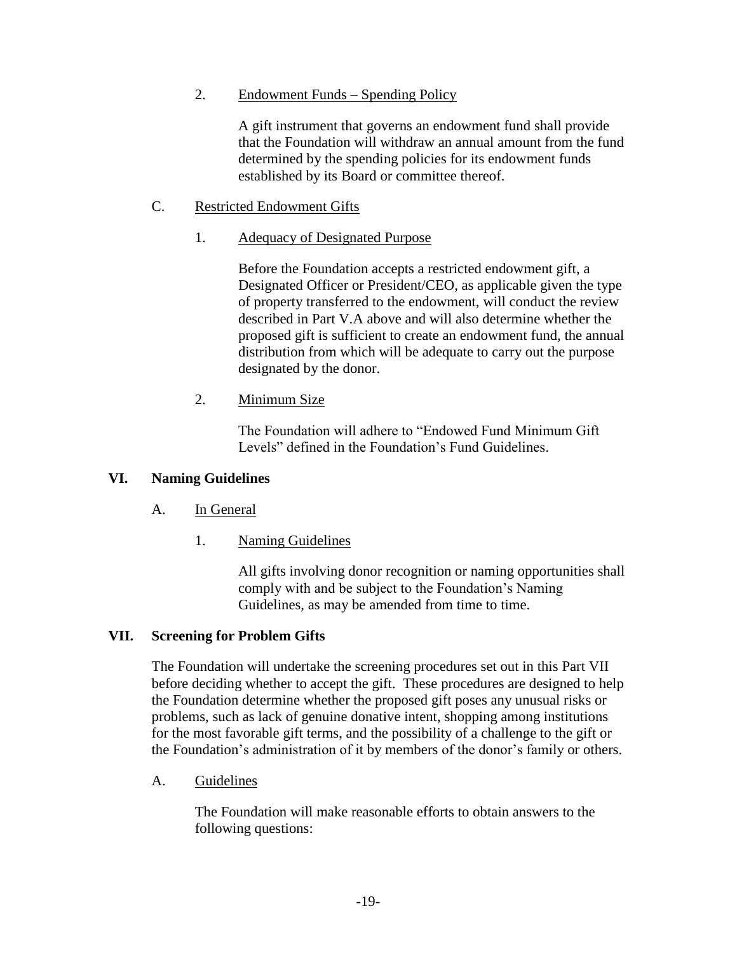#### 2. Endowment Funds – Spending Policy

A gift instrument that governs an endowment fund shall provide that the Foundation will withdraw an annual amount from the fund determined by the spending policies for its endowment funds established by its Board or committee thereof.

### C. Restricted Endowment Gifts

### 1. Adequacy of Designated Purpose

Before the Foundation accepts a restricted endowment gift, a Designated Officer or President/CEO, as applicable given the type of property transferred to the endowment, will conduct the review described in Part [V.A](#page-16-1) above and will also determine whether the proposed gift is sufficient to create an endowment fund, the annual distribution from which will be adequate to carry out the purpose designated by the donor.

# 2. Minimum Size

The Foundation will adhere to "Endowed Fund Minimum Gift Levels" defined in the Foundation's Fund Guidelines.

### **VI. Naming Guidelines**

# A. In General

1. Naming Guidelines

All gifts involving donor recognition or naming opportunities shall comply with and be subject to the Foundation's Naming Guidelines, as may be amended from time to time.

# <span id="page-18-0"></span>**VII. Screening for Problem Gifts**

The Foundation will undertake the screening procedures set out in this Part [VII](#page-18-0) before deciding whether to accept the gift. These procedures are designed to help the Foundation determine whether the proposed gift poses any unusual risks or problems, such as lack of genuine donative intent, shopping among institutions for the most favorable gift terms, and the possibility of a challenge to the gift or the Foundation's administration of it by members of the donor's family or others.

# A. Guidelines

The Foundation will make reasonable efforts to obtain answers to the following questions: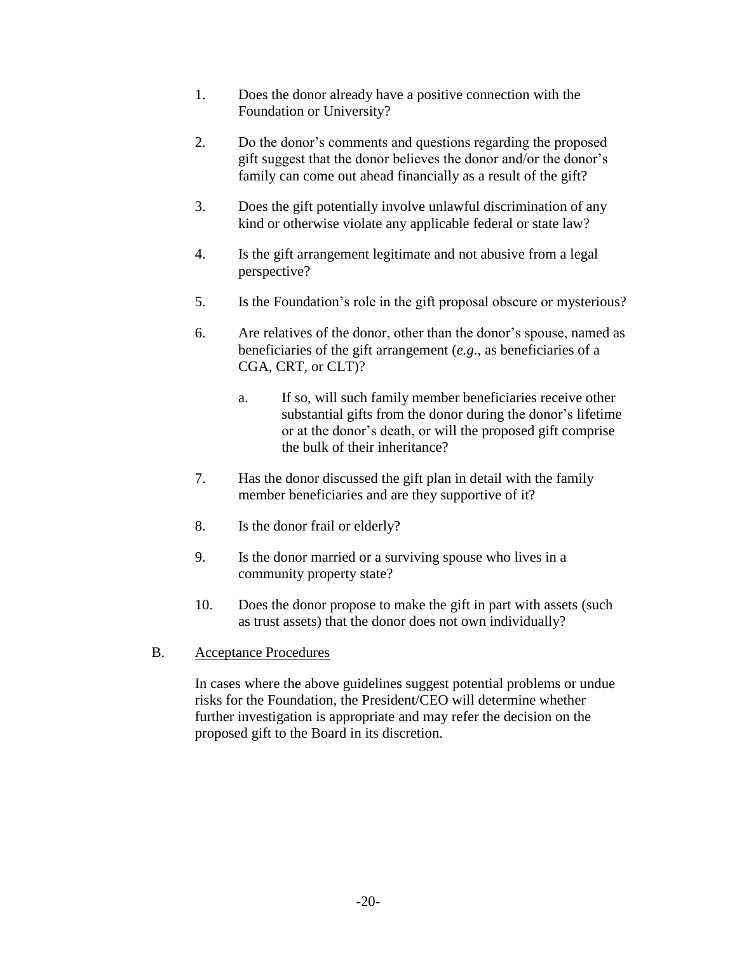- 1. Does the donor already have a positive connection with the Foundation or University?
- 2. Do the donor's comments and questions regarding the proposed gift suggest that the donor believes the donor and/or the donor's family can come out ahead financially as a result of the gift?
- 3. Does the gift potentially involve unlawful discrimination of any kind or otherwise violate any applicable federal or state law?
- 4. Is the gift arrangement legitimate and not abusive from a legal perspective?
- 5. Is the Foundation's role in the gift proposal obscure or mysterious?
- 6. Are relatives of the donor, other than the donor's spouse, named as beneficiaries of the gift arrangement (*e.g.,* as beneficiaries of a CGA, CRT, or CLT)?
	- a. If so, will such family member beneficiaries receive other substantial gifts from the donor during the donor's lifetime or at the donor's death, or will the proposed gift comprise the bulk of their inheritance?
- 7. Has the donor discussed the gift plan in detail with the family member beneficiaries and are they supportive of it?
- 8. Is the donor frail or elderly?
- 9. Is the donor married or a surviving spouse who lives in a community property state?
- 10. Does the donor propose to make the gift in part with assets (such as trust assets) that the donor does not own individually?
- B. Acceptance Procedures

In cases where the above guidelines suggest potential problems or undue risks for the Foundation, the President/CEO will determine whether further investigation is appropriate and may refer the decision on the proposed gift to the Board in its discretion.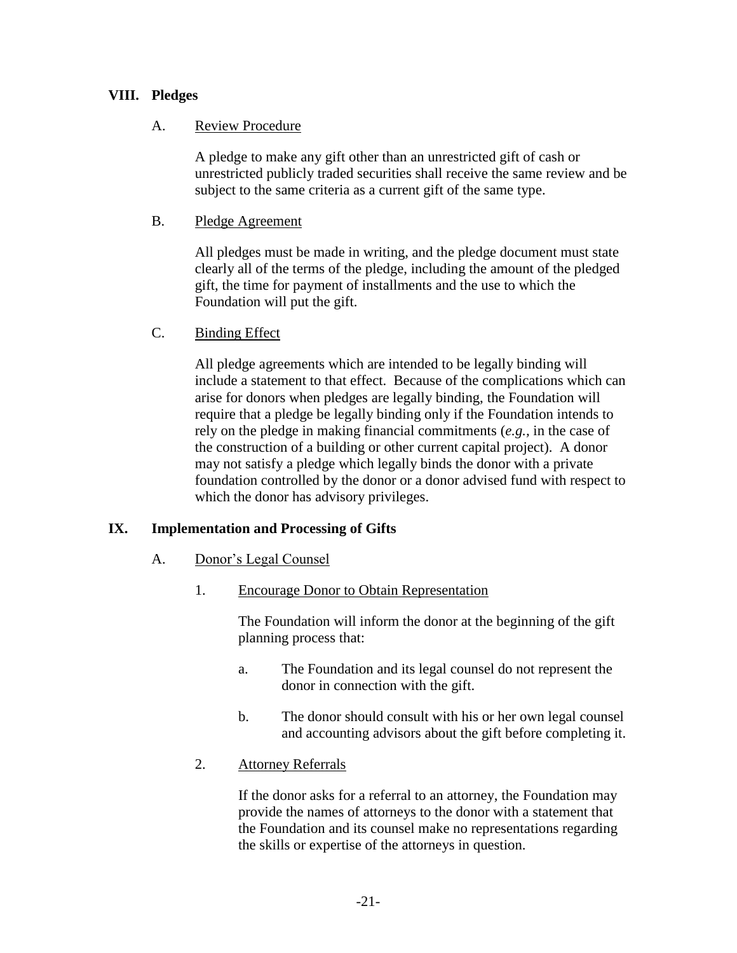# **VIII. Pledges**

### A. Review Procedure

A pledge to make any gift other than an unrestricted gift of cash or unrestricted publicly traded securities shall receive the same review and be subject to the same criteria as a current gift of the same type.

### B. Pledge Agreement

All pledges must be made in writing, and the pledge document must state clearly all of the terms of the pledge, including the amount of the pledged gift, the time for payment of installments and the use to which the Foundation will put the gift.

### C. Binding Effect

All pledge agreements which are intended to be legally binding will include a statement to that effect. Because of the complications which can arise for donors when pledges are legally binding, the Foundation will require that a pledge be legally binding only if the Foundation intends to rely on the pledge in making financial commitments (*e.g.,* in the case of the construction of a building or other current capital project). A donor may not satisfy a pledge which legally binds the donor with a private foundation controlled by the donor or a donor advised fund with respect to which the donor has advisory privileges.

# **IX. Implementation and Processing of Gifts**

#### A. Donor's Legal Counsel

1. Encourage Donor to Obtain Representation

The Foundation will inform the donor at the beginning of the gift planning process that:

- a. The Foundation and its legal counsel do not represent the donor in connection with the gift.
- b. The donor should consult with his or her own legal counsel and accounting advisors about the gift before completing it.
- 2. Attorney Referrals

If the donor asks for a referral to an attorney, the Foundation may provide the names of attorneys to the donor with a statement that the Foundation and its counsel make no representations regarding the skills or expertise of the attorneys in question.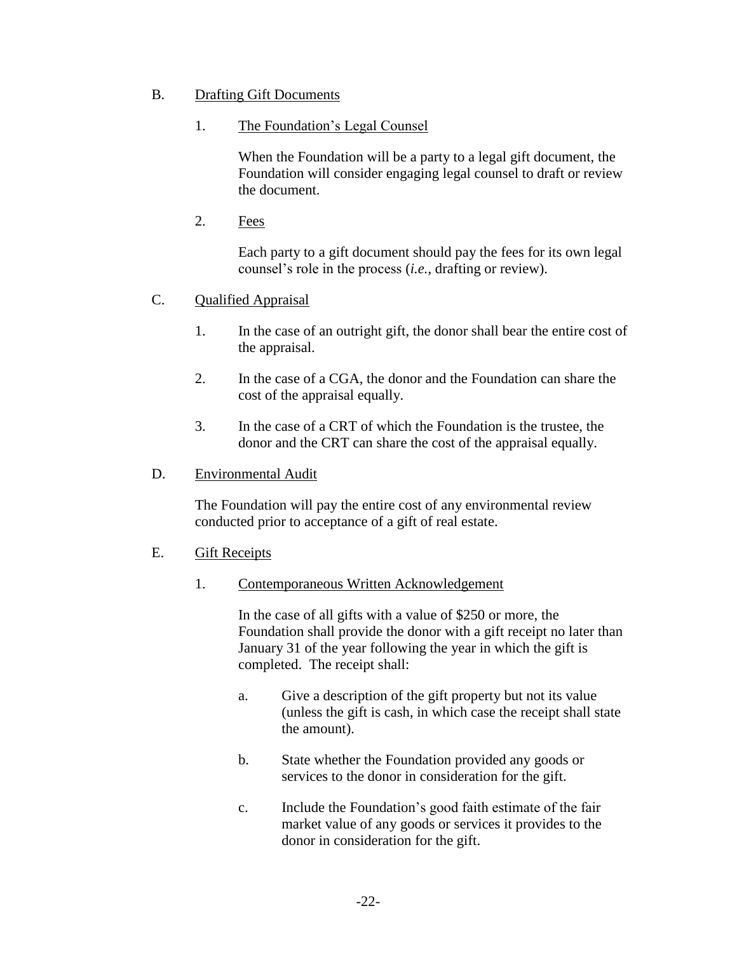# B. Drafting Gift Documents

# 1. The Foundation's Legal Counsel

When the Foundation will be a party to a legal gift document, the Foundation will consider engaging legal counsel to draft or review the document.

2. Fees

Each party to a gift document should pay the fees for its own legal counsel's role in the process (*i.e.*, drafting or review).

- C. Qualified Appraisal
	- 1. In the case of an outright gift, the donor shall bear the entire cost of the appraisal.
	- 2. In the case of a CGA, the donor and the Foundation can share the cost of the appraisal equally.
	- 3. In the case of a CRT of which the Foundation is the trustee, the donor and the CRT can share the cost of the appraisal equally.

# D. Environmental Audit

The Foundation will pay the entire cost of any environmental review conducted prior to acceptance of a gift of real estate.

# <span id="page-21-0"></span>E. Gift Receipts

# 1. Contemporaneous Written Acknowledgement

In the case of all gifts with a value of \$250 or more, the Foundation shall provide the donor with a gift receipt no later than January 31 of the year following the year in which the gift is completed. The receipt shall:

- a. Give a description of the gift property but not its value (unless the gift is cash, in which case the receipt shall state the amount).
- b. State whether the Foundation provided any goods or services to the donor in consideration for the gift.
- c. Include the Foundation's good faith estimate of the fair market value of any goods or services it provides to the donor in consideration for the gift.